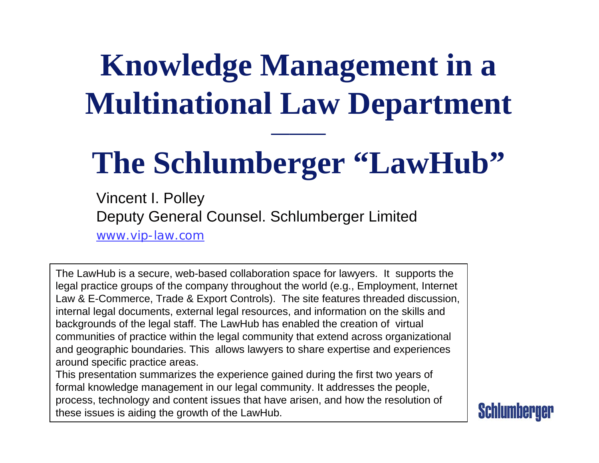# **Knowledge Management in a Multinational Law Department**

# The Schlumberger "LawHub"

Vincent I. Polley Deputy General Counsel. Schlumberger Limited [www.vip-law.com](http://www.vip-law.com/)

The LawHub is a secure, web-based collaboration space for lawyers. It supports the legal practice groups of the company throughout the world (e.g., Employment, Internet Law & E-Commerce, Trade & Export Controls). The site features threaded discussion, internal legal documents, external legal resources, and information on the skills and backgrounds of the legal staff. The LawHub has enabled the creation of virtual communities of practice within the legal community that extend across organizational and geographic boundaries. This allows lawyers to share expertise and experiences around specific practice areas.

This presentation summarizes the experience gained during the first two years of formal knowledge management in our legal community. It addresses the people, process, technology and content issues that have arisen, and how the resolution of these issues is aiding the growth of the LawHub.

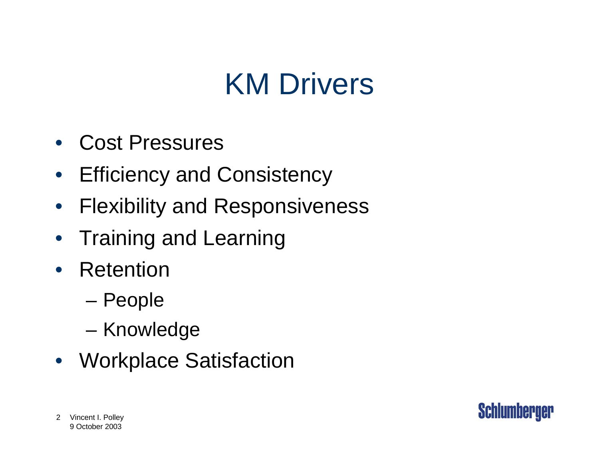## KM Drivers

- Cost Pressures
- Efficiency and Consistency
- $\bullet$ Flexibility and Responsiveness
- Training and Learning
- Retention
	- –People
	- –Knowledge
- Workplace Satisfaction

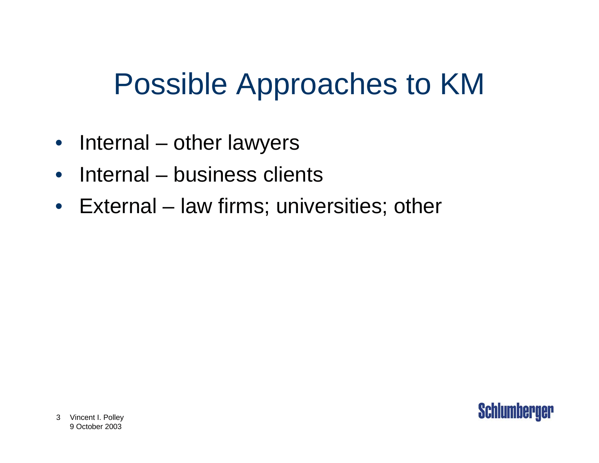## Possible Approaches to KM

- Internal other lawyers
- $\bullet$ Internal – business clients
- $\bullet$ External – law firms; universities; other

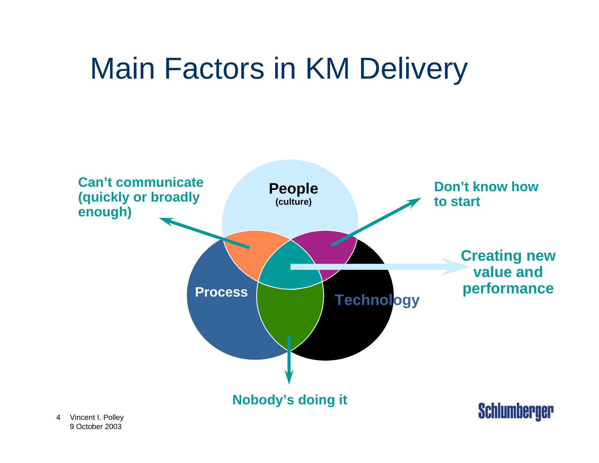# Main Factors in KM Delivery

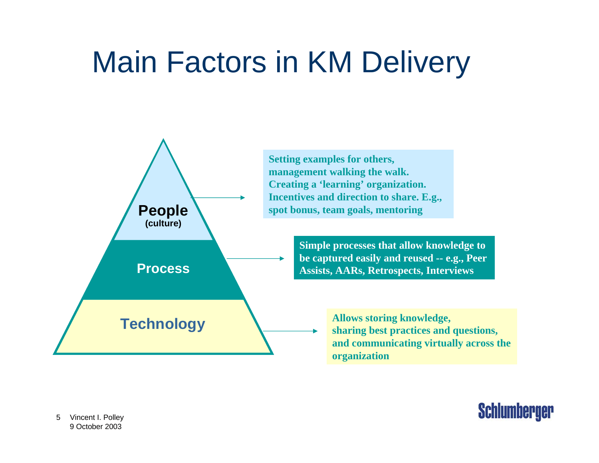## Main Factors in KM Delivery



**Setting examples for others, management walking the walk. Creating a 'learning' organization. Incentives and direction to share. E.g., spot bonus, team goals, mentoring**

> **Simple processes that allow knowledge to be captured easily and reused -- e.g., Peer Assists, AARs, Retrospects, Interviews**

> > **and communicating virtually across the organization**

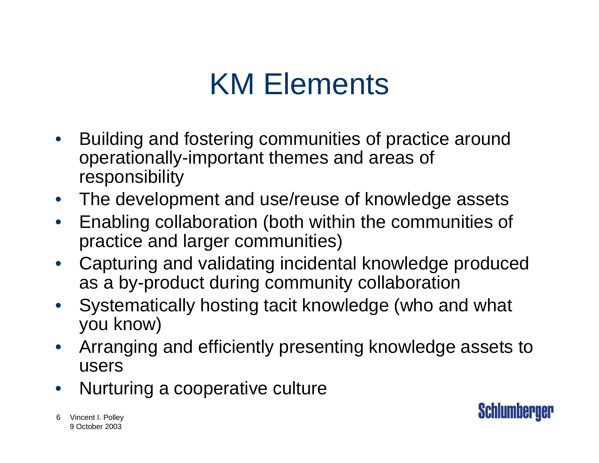## KM Elements

- • Building and fostering communities of practice around operationally-important themes and areas of responsibility
- $\bullet$ The development and use/reuse of knowledge assets
- $\bullet$  Enabling collaboration (both within the communities of practice and larger communities)
- • Capturing and validating incidental knowledge produced as a by-product during community collaboration
- $\bullet$  Systematically hosting tacit knowledge (who and what you know)
- $\bullet$  Arranging and efficiently presenting knowledge assets to users
- •Nurturing a cooperative culture

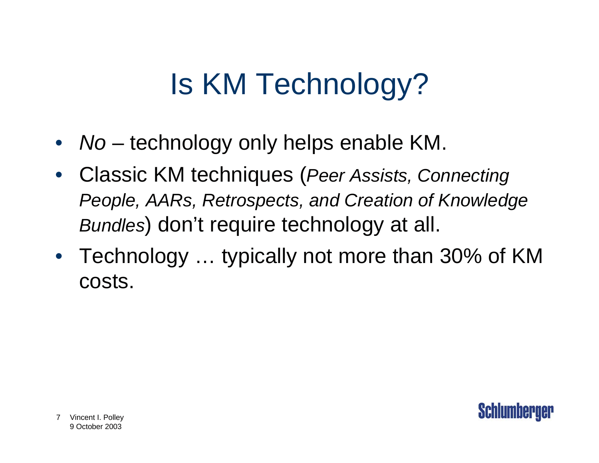# Is KM Technology?

- *No* technology only helps enable KM.
- Classic KM techniques (*Peer Assists, Connecting People, AARs, Retrospects, and Creation of Knowledge Bundles*) don't require technology at all.
- Technology ... typically not more than 30% of KM costs.

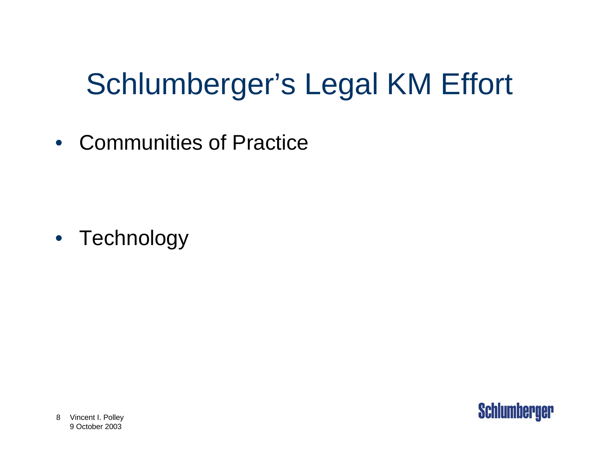# Schlumberger's Legal KM Effort

• Communities of Practice

• Technology

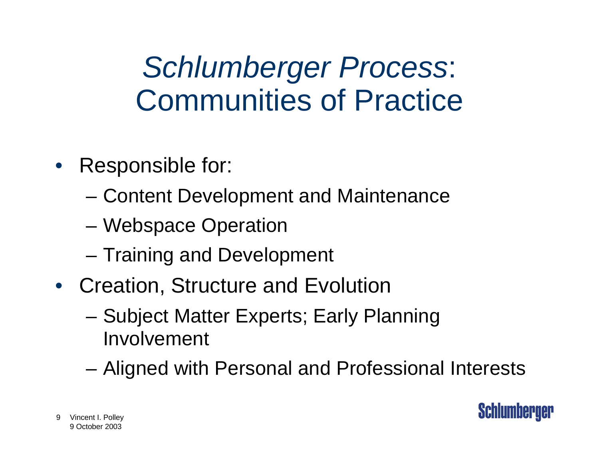## *Schlumberger Process*: Communities of Practice

- Responsible for:
	- –Content Development and Maintenance
	- –Webspace Operation
	- –Training and Development
- Creation, Structure and Evolution
	- – Subject Matter Experts; Early Planning Involvement
	- –Aligned with Personal and Professional Interests

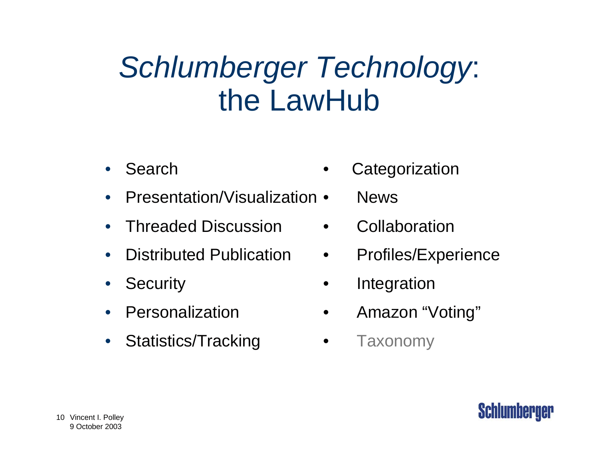### *Schlumberger Technology*: the LawHub

- •Search
- •Presentation/Visualization • News
- •Threaded Discussion • Collaboration
- •
- •
- •Personalization
- •Statistics/Tracking • Taxonomy
- **Categorization**
- 
- 
- Distributed Publication Profiles/Experience
- Security **•** Integration
	- Amazon "Voting"
	-

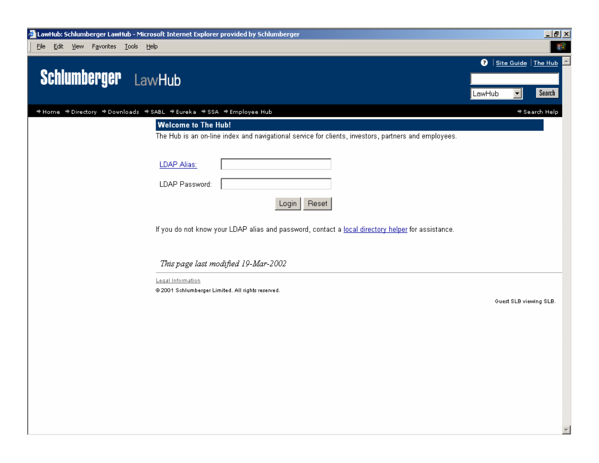

 $\overline{\nabla}$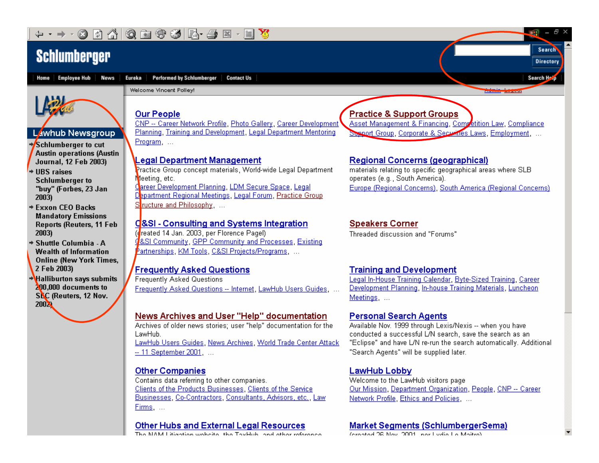#### -YR ☞

### **Schlumberger**

Home Employee Hub **News** 

**Performed by Schlumberger Contact Us** Eureka



#### **Lawhub Newsgroup**

→Schlumberger to cut **Austin operations (Austin Journal, 12 Feb 2003)** 

 $\overline{*}$  HBS raises **Schlumberger to** "buy" (Forbes, 23 Jan 2003)

- **→ Exxon CEO Backs Mandatory Emissions Reports (Reuters, 11 Feb** 2003)
- + Shuttle Columbia A **Wealth of Information Online (New York Times,** 2 Feb 2003)

+Halliburton says submits 200,000 documents to SEC (Reuters, 12 Nov. **2002** 

### **Our People**

Welcome Vincent Polley!

CNP -- Career Network Profile, Photo Gallery, Career Development Planning, Training and Development, Legal Department Mentoring Program ...

#### **Legal Department Management**

Practice Group concept materials, World-wide Legal Department Meeting, etc. Career Development Planning, LDM Secure Space, Legal Department Regional Meetings, Legal Forum, Practice Group Structure and Philosophy, ...

#### C&SI - Consulting and Systems Integration

(dreated 14 Jan. 2003, per Florence Pagel) &SI Community, GPP Community and Processes, Existing <sup>b</sup>artnerships, KM Tools, C&SI Projects/Programs, ...

#### **Frequently Asked Questions**

**Frequently Asked Questions** Frequently Asked Questions -- Internet, LawHub Users Guides,

#### News Archives and User "Help" documentation

Archives of older news stories: user "help" documentation for the LawHub.

LawHub Users Guides, News Archives, World Trade Center Attack -- 11 September 2001. ...

#### **Other Companies**

Contains data referring to other companies. Clients of the Products Businesses, Clients of the Service Businesses, Co-Contractors, Consultants, Advisors, etc., Law Firms, ...

#### **Other Hubs and External Legal Resources**

**INTO KALL Separations conduction in the Theod bole in and satisfacture** 

#### **Practice & Support Groups**

Asset Management & Financing, Competition Law, Compliance Session Group, Corporate & Securities Laws, Employment. ...

**AB** 

 $\theta$   $\times$ 

Search

**Directory** 

Search H<sub>2.0</sub>

#### Regional Concerns (geographical)

materials relating to specific geographical areas where SLB operates (e.g., South America). Europe (Regional Concerns), South America (Regional Concerns)

#### **Speakers Corner**

Threaded discussion and "Forums"

#### **Training and Development**

Legal In-House Training Calendar, Byte-Sized Training, Career Development Planning, In-house Training Materials, Luncheon Meetings, ...

#### **Personal Search Agents**

Available Nov. 1999 through Lexis/Nexis -- when you have conducted a successful L/N search, save the search as an "Eclipse" and have L/N re-run the search automatically. Additional "Search Agents" will be supplied later.

#### **LawHub Lobby**

Welcome to the LawHub visitors page Our Mission, Department Organization, People, CNP -- Career Network Profile, Ethics and Policies, ...

#### **Market Segments (SchlumbergerSema)**

**CARLO DE MESSIONES DE LA CARLA DE MARC**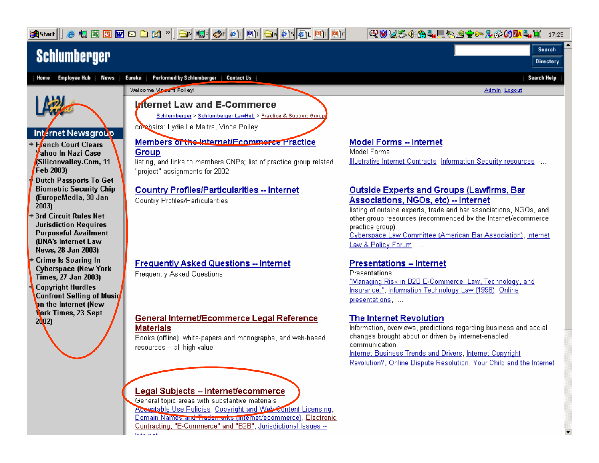& 5 3 5 m d d 1' d 1 5 4 6 4 0 5 d 1 6 5 6 6 6 6

**Q0V54B4F531c200M4L** 17:25

Search

### **Schlumberger**

**B** Start



Contracting, "E-Commerce" and "B2B", Jurisdictional Issues --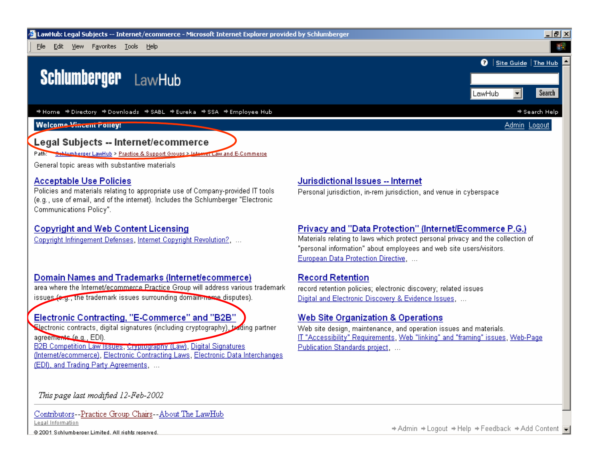

#### **Legal Subjects -- Internet/ecommerce**

Path: Schlumberger LawHub > Practice & Support Groups > Internet Law and E-Commerce

General topic areas with substantive materials

#### **Acceptable Use Policies**

Policies and materials relating to appropriate use of Company-provided IT tools (e.g., use of email, and of the internet). Includes the Schlumberger "Electronic Communications Policy".

#### **Copyright and Web Content Licensing**

Copyright Infringement Defenses, Internet Copyright Revolution?...

#### Domain Names and Trademarks (Internet/ecommerce)

area where the Internet/ecommerce Practice Group will address various trademark issues (e.g., the trademark issues surrounding domain-name disputes).

#### Electronic Contracting, "E-Commerce" and "B2B"

Electronic contracts, digital signatures (including cryptography), toding partner agreements (e.g., EDI). **B2B Competition Law Issues, Gryprography (Law)**, Digital Signatures (Internet/ecommerce), Electronic Contracting Laws, Electronic Data Interchanges

(EDI), and Trading Party Agreements, ...

### Jurisdictional Issues -- Internet

Personal jurisdiction, in-rem jurisdiction, and venue in cyberspace

#### Privacy and "Data Protection" (Internet/Ecommerce P.G.)

Materials relating to laws which protect personal privacy and the collection of "personal information" about employees and web site users/visitors. European Data Protection Directive. ...

#### **Record Retention**

record retention policies; electronic discovery; related issues Digital and Electronic Discovery & Evidence Issues, ...

#### Web Site Organization & Operations

Web site design, maintenance, and operation issues and materials. IT "Accessibility" Requirements, Web "linking" and "framing" issues, Web-Page Publication Standards project. ...

This page last modified 12-Feb-2002

Contributors--Practice Group Chairs--About The LawHub Legal Information

#### @ 2001 Schlumberger Limited. All rights reserved.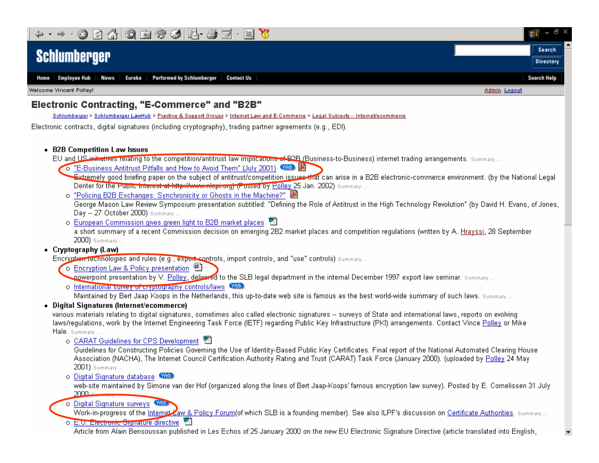

Home Employee Hub **News** Eureka Performed by Schlumberger **Contact Us** 

Welcome Vincent Polley!

#### Electronic Contracting, "E-Commerce" and "B2B"

Schlumberger > Schlumberger LawHub > Practice & Support Groups > Internet Law and E-Commerce > Legal Subjects -- Internet/ecommerce

Electronic contracts, digital signatures (including cryptography), trading partner agreements (e.g., EDI).

• B2B Competition Law Issues

EU and US initiatives relating to the competition/antitrust law implications of B2B (Business-to-Business) internet trading arrangements. Summary...

- O "E-Business Antitrust Pitfalls and How to Avoid Them" (July 2001) WED
- Extremely good briefing paper on the subject of antitrust/competition issuee that can arise in a B2B electronic-commerce environment. (by the National Legal Denter for the Public interest at http://www.nlcpi.org) (Posted by Polley 25 Jan. 2002) Summary ...
- o "Policing B2B Exchanges: Synchronicity or Ghosts in the Machine?" George Mason Law Review Symposium presentation subtitled: "Defining the Role of Antitrust in the High Technology Revolution" (by David H. Evans, of Jones, Day -- 27 October 2000) Summary ...
- o European Commission gives green light to B2B market places a short summary of a recent Commission decision on emerging 2B2 market places and competition regulations (written by A. Hrayssi, 28 September 2000) Summary ...
- Cryptography (Law)

Encryption technologies and rules (e.g., export controls, import controls, and "use" controls) Summary...

o Encryption Law & Policy presentation 圈

nowerpoint presentation by V. Polley, delivered to the SLB legal department in the internal December 1997 export law seminar. summary...

o International survey of cryptography controls/laws Web Maintained by Bert Jaap Koops in the Netherlands, this up-to-date web site is famous as the best world-wide summary of such laws. Summary ...

#### Digital Signatures (Internet/ecommerce)

various materials relating to digital signatures, sometimes also called electronic signatures -- surveys of State and international laws, reports on evolving laws/regulations, work by the Internet Engineering Task Force (IETF) regarding Public Key Infrastructure (PKI) arrangements. Contact Vince Polley or Mike Hale, Summary...

o CARAT Guidelines for CPS Development

Guidelines for Constructing Policies Governing the Use of Identity-Based Public Key Certificates. Final report of the National Automated Clearing House Association (NACHA), The Internet Council Certification Authority Rating and Trust (CARAT) Task Force (January 2000). (uploaded by Polley 24 May 2001) Summary ...

o Digital Signature database WED

web-site maintained by Simone van der Hof (organized along the lines of Bert Jaap-Koops' famous encryption law survey). Posted by E. Cornelissen 31 July 2000

o Digital Signature surveys Web

Work-in-progress of the Internet Law & Policy Forum(of which SLB is a founding member). See also ILPF's discussion on Certificate Authorities. Summary...

o E.U. Electronic Signature directive

Article from Alain Bensoussan published in Les Echos of 25 January 2000 on the new EU Electronic Signature Directive (article translated into English,

**Directory** 

Þ

Search Help

Admin Logout

Search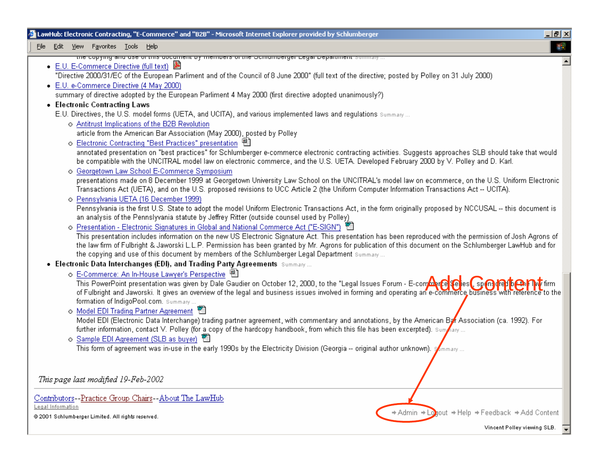| LawHub: Electronic Contracting, "E-Commerce" and "B2B" - Microsoft Internet Explorer provided by Schlumberger                                                                                                                                                                                                              | 그리스 |
|----------------------------------------------------------------------------------------------------------------------------------------------------------------------------------------------------------------------------------------------------------------------------------------------------------------------------|-----|
| Edit View Favorites Tools Help<br>File                                                                                                                                                                                                                                                                                     | 調   |
| the copying and use of this document by members of the Schidmberger Legal Department summary                                                                                                                                                                                                                               |     |
| ● E.U. E-Commerce Directive (full text) 圖                                                                                                                                                                                                                                                                                  |     |
| "Directive 2000/31/EC of the European Parliment and of the Council of 8 June 2000" (full text of the directive; posted by Polley on 31 July 2000)                                                                                                                                                                          |     |
| • E.U. e-Commerce Directive (4 May 2000)                                                                                                                                                                                                                                                                                   |     |
| summary of directive adopted by the European Parliment 4 May 2000 (first directive adopted unanimously?)                                                                                                                                                                                                                   |     |
| • Electronic Contracting Laws                                                                                                                                                                                                                                                                                              |     |
| E.U. Directives, the U.S. model forms (UETA, and UCITA), and various implemented laws and regulations summary                                                                                                                                                                                                              |     |
| o Antitrust Implications of the B2B Revolution                                                                                                                                                                                                                                                                             |     |
| article from the American Bar Association (May 2000), posted by Polley                                                                                                                                                                                                                                                     |     |
| o Electronic Contracting "Best Practices" presentation 图                                                                                                                                                                                                                                                                   |     |
| annotated presentation on "best practices" for Schlumberger e-commerce electronic contracting activities. Suggests approaches SLB should take that would<br>be compatible with the UNCITRAL model law on electronic commerce, and the U.S. UETA. Developed February 2000 by V. Polley and D. Karl.                         |     |
| o Georgetown Law School E-Commerce Symposium                                                                                                                                                                                                                                                                               |     |
| presentations made on 8 December 1999 at Georgetown University Law School on the UNCITRAL's model law on ecommerce, on the U.S. Uniform Electronic<br>Transactions Act (UETA), and on the U.S. proposed revisions to UCC Article 2 (the Uniform Computer Information Transactions Act -- UCITA).                           |     |
| o Pennsylvania UETA (16 December 1999)                                                                                                                                                                                                                                                                                     |     |
| Pennsylvania is the first U.S. State to adopt the model Uniform Electronic Transactions Act, in the form originally proposed by NCCUSAL -- this document is<br>an analysis of the Pennslyvania statute by Jeffrey Ritter (outside counsel used by Polley)                                                                  |     |
| o Presentation - Electronic Signatures in Global and National Commerce Act ("E-SIGN") ■                                                                                                                                                                                                                                    |     |
| This presentation includes information on the new US Electronic Signature Act. This presentation has been reproduced with the permission of Josh Agrons of<br>the law firm of Fulbright & Jaworski L.L.P. Permission has been granted by Mr. Agrons for publication of this document on the Schlumberger LawHub and for    |     |
| the copying and use of this document by members of the Schlumberger Legal Department Summary                                                                                                                                                                                                                               |     |
| • Electronic Data Interchanges (EDI), and Trading Party Agreements Summary                                                                                                                                                                                                                                                 |     |
| o E-Commerce: An In-House Lawyer's Perspective 圈                                                                                                                                                                                                                                                                           |     |
| This PowerPoint presentation was given by Dale Gaudier on October 12, 2000, to the "Legal Issues Forum - E-computerPer Per es (, sp @ 1917 Per Per Tirm<br>of Fulbright and Jaworski. It gives an overview of the legal and business issues involved in forming and operating an e-commerce business with reference to the |     |
| formation of IndigoPool.com. Summary                                                                                                                                                                                                                                                                                       |     |
| o Model EDI Trading Partner Agreement                                                                                                                                                                                                                                                                                      |     |
| Model EDI (Electronic Data Interchange) trading partner agreement, with commentary and annotations, by the American Bar Association (ca. 1992). For                                                                                                                                                                        |     |
| further information, contact V. Polley (for a copy of the hardcopy handbook, from which this file has been excerpted). Sum                                                                                                                                                                                                 |     |
| o Sample EDI Agreement (SLB as buyer)                                                                                                                                                                                                                                                                                      |     |
| This form of agreement was in-use in the early 1990s by the Electricity Division (Georgia -- original author unknown). $\mathcal{J}_{\rm mm, any}$                                                                                                                                                                         |     |
|                                                                                                                                                                                                                                                                                                                            |     |
| This page last modified 19-Feb-2002                                                                                                                                                                                                                                                                                        |     |
| Contributors--Practice Group Chairs--About The LawHub                                                                                                                                                                                                                                                                      |     |

Contributors--Practice Group Chairs--About The LawHub Legal Information

@ 2001 Schlumberger Limited. All rights reserved.

→ Admin → Logout → Help → Feedback → Add Content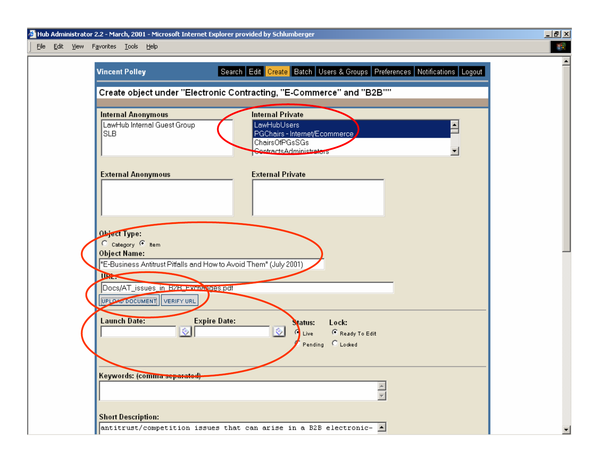File Edit View Favorites Tools Help



 $|I|$ 

▾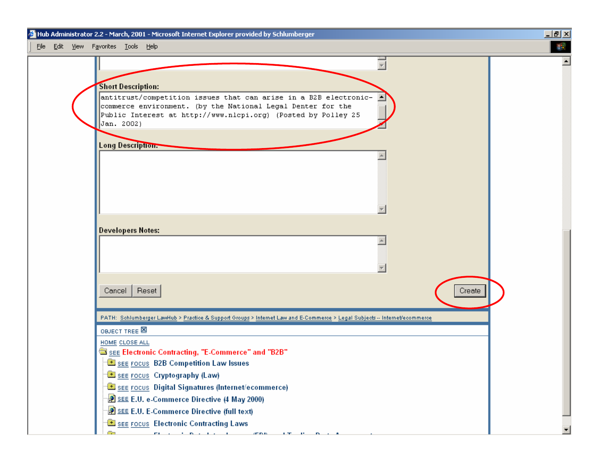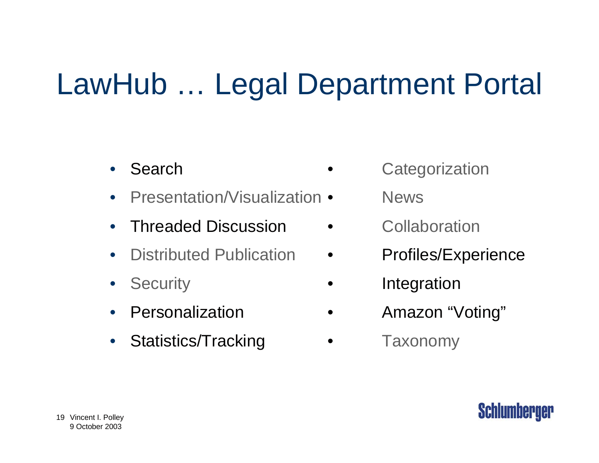# LawHub … Legal Department Portal

- $\bullet$ Search
- $\bullet$ Presentation/Visualization •
- •Threaded Discussion • Collaboration
- $\bullet$ Distributed Publication
- $\bullet$
- •Personalization
- $\bullet$ Statistics/Tracking • Taxonomy
- **Categorization** 
	- News
	-
- **Profiles/Experience**
- Security **•** Integration
	- Amazon "Voting"
	-

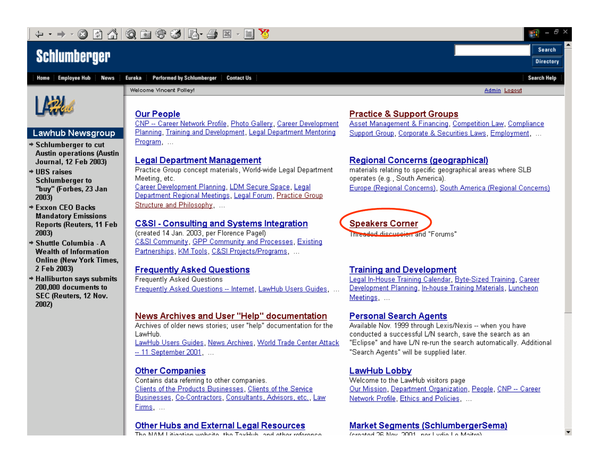### **Schlumberger**



**Performed by Schlumberger Contact Us** Eureka



#### **Lawhub Newsgroup**

- → Schlumberger to cut **Austin operations (Austin** Journal, 12 Feb 2003)
- $+$  UBS raises **Schlumberger to** "buy" (Forbes, 23 Jan 2003)
- **→ Exxon CEO Backs Mandatory Emissions Reports (Reuters, 11 Feb** 2003)
- → Shuttle Columbia A **Wealth of Information Online (New York Times,** 2 Feb 2003)
- + Halliburton says submits 200,000 documents to SEC (Reuters, 12 Nov. 2002)

Welcome Vincent Polley!

Admin Logout

Ł

Search

**Directory** 

**Search Help** 

#### **Our People**

CNP -- Career Network Profile, Photo Gallery, Career Development Planning, Training and Development, Legal Department Mentoring Program ...

#### **Legal Department Management**

Practice Group concept materials, World-wide Legal Department Meeting, etc. Career Development Planning, LDM Secure Space, Legal

Department Regional Meetings, Legal Forum, Practice Group Structure and Philosophy. ...

#### **C&SI - Consulting and Systems Integration**

(created 14 Jan. 2003, per Florence Pagel) C&SI Community, GPP Community and Processes, Existing Partnerships, KM Tools, C&SI Projects/Programs, ...

#### **Frequently Asked Questions**

**Frequently Asked Questions** Frequently Asked Questions -- Internet, LawHub Users Guides,

#### News Archives and User "Help" documentation

Archives of older news stories: user "help" documentation for the LawHub.

LawHub Users Guides, News Archives, World Trade Center Attack -- 11 September 2001. ...

#### **Other Companies**

Contains data referring to other companies. Clients of the Products Businesses, Clients of the Service Businesses, Co-Contractors, Consultants, Advisors, etc., Law Firms, ...

#### **Other Hubs and External Legal Resources**

**INTO KALL (A)** and there is such a fact that if The of Table the send that because the

#### **Practice & Support Groups**

Asset Management & Financing, Competition Law, Compliance Support Group, Corporate & Securities Laws, Employment. ...

#### **Regional Concerns (geographical)**

materials relating to specific geographical areas where SLB operates (e.g., South America). Europe (Regional Concerns), South America (Regional Concerns)



#### **Training and Development**

Legal In-House Training Calendar, Byte-Sized Training, Career Development Planning, In-house Training Materials, Luncheon Meetings, ...

#### **Personal Search Agents**

Available Nov. 1999 through Lexis/Nexis -- when you have conducted a successful L/N search, save the search as an "Eclipse" and have L/N re-run the search automatically. Additional "Search Agents" will be supplied later.

#### **LawHub Lobby**

Welcome to the LawHub visitors page Our Mission, Department Organization, People, CNP -- Career Network Profile, Ethics and Policies, ...

#### **Market Segments (SchlumbergerSema)**

and a ground on ground a start and a firm in the start of the start of the start of the start of the start of the start of the start of the start of the start of the start of the start of the start of the start of the star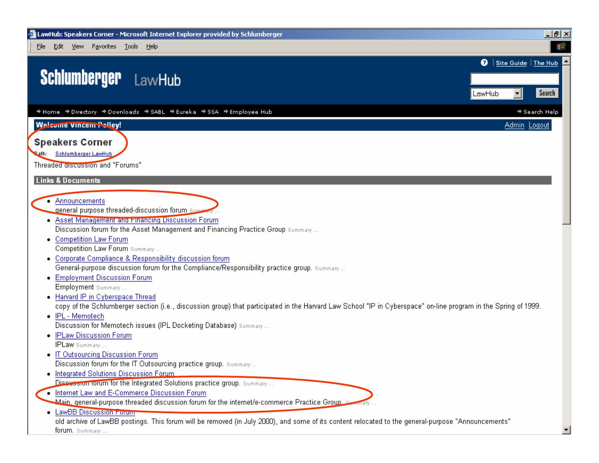File Edit View Favorites Tools Help

### **Schlumberger** LawHub

→ Home → Directory → Downloads → SABL → Eureka → SSA → Employee Hub

### **Welcome Vincent Polley!**

**Speakers Corner** 

Rath: Schlumberger LawHub

Threaded discussion and "Forums"

**Links & Documents** 

- Announcements

general purpose threaded-discussion forum sum

- Asset Management and Financing Discussion Forum Discussion forum for the Asset Management and Financing Practice Group summary...
- Competition Law Forum Competition Law Forum Summary...
- Corporate Compliance & Responsibility discussion forum General-purpose discussion forum for the Compliance/Responsibility practice group. Summary...
- Employment Discussion Forum Employment summary...
- Harvard IP in Cyberspace Thread

copy of the Schlumberger section (i.e., discussion group) that participated in the Harvard Law School "IP in Cyberspace" on-line program in the Spring of 1999.

 $|B|$   $\times$ 編

Search

→ Search Help

Admin Logout

**Q** Site Guide The Hub

ᅱ

LawHub

• IPL - Memotech

Discussion for Memotech issues (IPL Docketing Database) Summary ...

- IPLaw Discussion Forum

**IPLaw** Summary...

- IT Outsourcing Discussion Forum Discussion forum for the IT Outsourcing practice group. Summary...
- . Integrated Solutions Discussion Forum

Discussion forum for the Integrated Solutions practice group. Summary...

. Internet Law and E-Commerce Discussion Forum

هـ Main, general-purpose threaded discussion forum for the internet/e-commerce Practice Group.

. LawBB Discussion Forum

old archive of LawBB postings. This forum will be removed (in July 2000), and some of its content relocated to the general-purpose "Announcements" forum. Summary.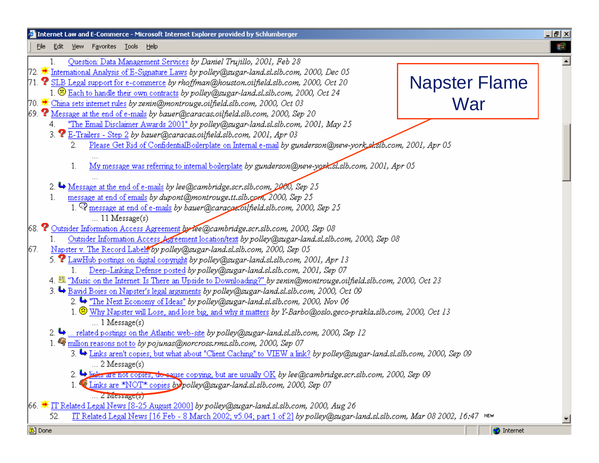#### $|B|$   $\times$ Internet Law and E-Commerce - Microsoft Internet Explorer provided by Schlumberger **SER** File Edit View Favorites Tools Help Question: Data Management Services by Daniel Trujillo, 2001, Feb 28  $\mathbf{1}$ 72. We International Analysis of E-Signature Laws by polley@sugar-land.sl.slb.com, 2000, Dec 05 Napster Flame  $71.$   $\bullet$  SLB Legal support for e-commerce *by rhoffman@houston.oilfield.slb.com, 2000, Oct 20* 1. B Each to handle their own contracts by polley@sugar-land.sl.slb.com. 2000. Oct 24 War70.  $\bigstar$  China sets internet rules *by zenin@montrouge.oilfield.slb.com, 2000, Oct 03* 69.  $\bullet$  Message at the end of e-mails by bauer@caracas.oilfield.slb.com, 2000, Sep 20 "The Email Disclaimer Awards 2001" by polley@sugar-land.sl.slb.com, 2001, May 25 4 3. P E-Trailers - Step 2 by bauer@caracas.oilfield.slb.com, 2001, Apr 03 Please Get Rid of ConfidentialBoilerplate on Internal e-mail by gunderson@new-york\_skslb.com, 2001, Apr 05  $2.$  $\mathbf{1}$ . My message was referring to internal boilerplate by gunderson@new-york.sl.slb.com, 2001, Apr 05 2.  $\rightarrow$  Message at the end of e-mails by lee@cambridge.scr.slb.com, 2000, Sep 25 message at end of emails by dupont@montrouge.tt.slb.com, 2000, Sep 25  $1$ 1.  $\mathcal Q$  message at end of e-mails by bauer@caraca.oilfield.slb.com, 2000, Sep 25  $\ldots$  11 Message(s) 68. <sup>2</sup> Outsider Information Access Agreement by lee@cambridge.scr.slb.com, 2000, Sep 08 Outsider Information Access Agreement location/text by polley@sugar-land.sl.slb.com, 2000, Sep 08 Napster v. The Record Labels by polley@sugar-land.sl.slb.com, 2000, Sep 05 67. 5.  $\bullet$  LawHub postings on digital copyright by polley@sugar-land.sl.slb.com, 2001, Apr 13 Deep-Linking Defense posted by polley@sugar-land.sl.slb.com, 2001, Sep 07 4. <sup>23</sup> "Music on the Internet: Is There an Upside to Downloading?" by zenin@montrouge.oilfield.slb.com, 2000, Oct 23 3. Bavid Boies on Napster's legal arguments by polley@sugar-land.sl.slb.com, 2000, Oct 09 2.  $\rightarrow$  "The Next Economy of Ideas" by polley@sugar-land.sl.slb.com, 2000, Nov 06 1. Why Napster will Lose, and lose big, and why it matters by Y-Barbo@oslo.geco-prakla.slb.com, 2000, Oct 13  $\ldots$  1 Message(s) 2. → ... related postings on the Atlantic web-site by polley@sugar-land.sl.slb.com, 2000, Sep 12 1. Traillion reasons not to by pojunas@norcross.rms.slb.com, 2000, Sep 07 3. Einks aren't copies; but what about "Client Caching" to VIEW a link? by polley@sugar-land.sl.slb.com, 2000, Sep 09  $\ldots$  2 Message(s) 2. Divides are not copies, do sause copying, but are usually OK by lee@cambridge.scr.slb.com, 2000, Sep 09 1. Links are \*NOT\* copies by polley@sugar-land.sl.slb.com, 2000, Sep 07 ... Z Message(s) 66. Tr Related Legal News [8-25 August 2000] by polley@sugar-land.sl.slb.com, 2000, Aug 26 52. IT Related Legal News [16 Feb - 8 March 2002; v5.04; part 1 of 2] by polley@sugar-land.sl.slb.com, Mar 08 2002, 16:47 NEW

<sup>2</sup> Done

9 October 2003

**O** Internet

ᅬ

 $\blacktriangle$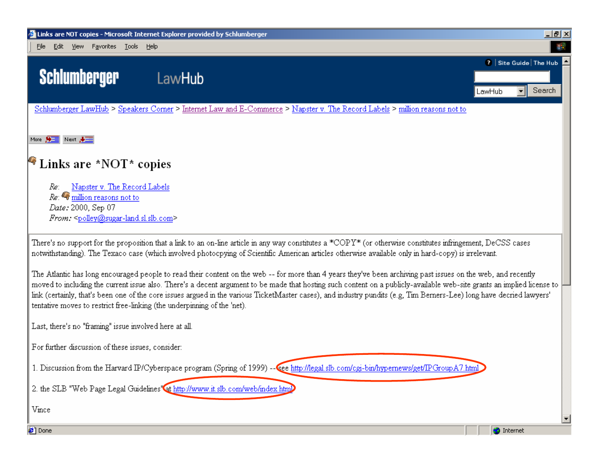

The Atlantic has long encouraged people to read their content on the web--for more than 4 years they've been archiving past issues on the web, and recently moved to including the current issue also. There's a decent argument to be made that hosting such content on a publicly-available web-site grants an implied license to link (certainly, that's been one of the core issues argued in the various TicketMaster cases), and industry pundits (e.g, Tim Berners-Lee) long have decried lawyers' tentative moves to restrict free-linking (the underpinning of the 'net).

Last, there's no "framing" issue involved here at all.

For further discussion of these issues, consider:

1. Discussion from the Harvard IP/Cyberspace program (Spring of 1999) -- Cee http://legal.slb.com/cgi-bin/hypernews/get/IPGroupA7.html

2. the SLB "Web Page Legal Guidelines" at http://www.it.slb.com/web/index.html

Vince



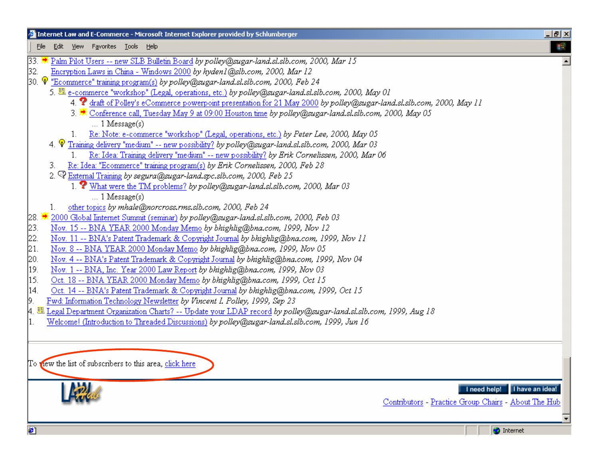| Internet Law and E-Commerce - Microsoft Internet Explorer provided by Schlumberger                                                | 그리스                          |
|-----------------------------------------------------------------------------------------------------------------------------------|------------------------------|
| File Edit View Favorites Tools Help                                                                                               | 翻                            |
| 23. We Palm Pilot Users -- new SLB Bulletin Board by polley@sugar-land.sl.slb.com, 2000, Mar 15                                   |                              |
| Encryption Laws in China - Windows 2000 by hyden1@slb.com, 2000, Mar 12<br>32.                                                    |                              |
| 30. 'V' "Ecomm <u>erce" training program(s)</u> by polley@sugar-land.sl.slb.com, 2000, Feb 24                                     |                              |
| 5. El e-commerce "workshop" (Legal, operations, etc.) by polley@sugar-land.sl.slb.com, 2000, May 01                               |                              |
| 4. <sup>2</sup> draft of Polley's eCommerce powerpoint presentation for 21 May 2000 by polley@sugar-land.sl.slb.com, 2000, May 11 |                              |
| 3. The Conference call, Tuesday May 9 at 09:00 Houston time by polley@sugar-land.sl.slb.com, 2000, May 05                         |                              |
| $\ldots$ 1 Message(s)                                                                                                             |                              |
| Re: Note: e-commerce "workshop" (Legal, operations, etc.) by Peter Lee, 2000, May 05                                              |                              |
| 4. V Training delivery "medium" -- new possibility? by polley@sugar-land.sl.slb.com, 2000, Mar 03                                 |                              |
| Re: Idea: Training delivery "medium" -- new possibility? by Erik Cornelissen, 2000, Mar 06                                        |                              |
| Re: Idea: "Ecommerce" training program(s) by Erik Cornelissen, 2000, Feb 28<br>3.                                                 |                              |
| 2. VExternal Training by segura@sugar-land.spc.slb.com, 2000, Feb 25                                                              |                              |
| 1. What were the TM problems? by polley@sugar-land.sl.slb.com, 2000, Mar 03                                                       |                              |
| $\ldots$ 1 Message(s)                                                                                                             |                              |
| other topics by mhale@norcross.rms.slb.com, 2000, Feb 24<br>1.                                                                    |                              |
| 2000 Global Internet Summit (seminar) by polley@sugar-land.sl.slb.com, 2000, Feb 03<br>28. <mark>→</mark>                         |                              |
| 23.<br>Nov. 15 -- BNA YEAR 2000 Monday Memo by bhighlig@bna.com, 1999, Nov 12                                                     |                              |
| 22.<br>Nov. 11 -- BNA's Patent Trademark & Copyright Journal by bhighlig@bna.com, 1999, Nov 11                                    |                              |
| Nov. 8 -- BNA YEAR 2000 Monday Memo by bhighlig@bna.com, 1999, Nov 05<br>21.                                                      |                              |
| 20.<br>Nov. 4 -- BNA's Patent Trademark & Copyright Journal by bhighlig@bna.com, 1999, Nov 04                                     |                              |
| Nov. 1 -- BNA, Inc. Year 2000 Law Report by bhighlig@bna.com, 1999, Nov 03<br>19.                                                 |                              |
| Oct. 18 -- BNA YEAR 2000 Monday Memo by bhighlig@bna.com, 1999, Oct 15<br>15.                                                     |                              |
| 14.<br>Oct. 14 -- BNA's Patent Trademark & Copyright Journal by bhighlig@bna.com, 1999, Oct 15                                    |                              |
| Fwd: Information Technology Newsletter by Vincent I. Polley, 1999, Sep 23<br>9.                                                   |                              |
| 4. 墨 Legal Department Organization Charts? -- Update your LDAP record <i>by polley@sugar-land.sl.slb.com, 1999, Aug 18</i>        |                              |
| Welcome! (Introduction to Threaded Discussions) by polley@sugar-land.sl.slb.com, 1999, Jun 16<br>1.                               |                              |
|                                                                                                                                   |                              |
|                                                                                                                                   |                              |
|                                                                                                                                   |                              |
| To new the list of subscribers to this area, click here                                                                           |                              |
|                                                                                                                                   |                              |
| <b>Poli</b>                                                                                                                       | I need help! I have an idea! |
|                                                                                                                                   |                              |



**O** Internet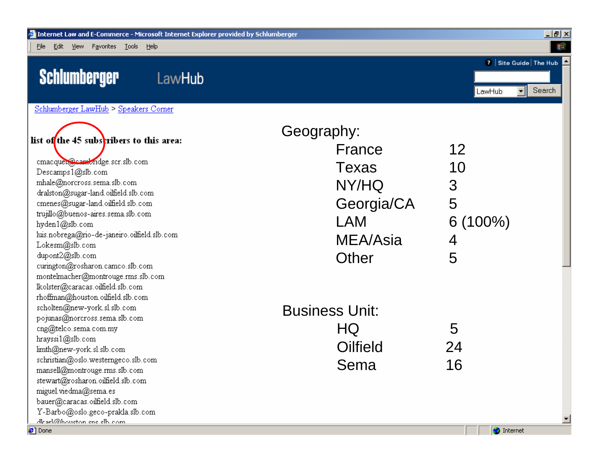File Edit View Favorites Tools Help

### Schlumberger





 $\overline{\Box}$ elxi 编

Schlumberger LawHub > Speakers Corner

|                                                     | Geography:            |            |
|-----------------------------------------------------|-----------------------|------------|
| list of the 45 subscribers to this area:            | France                | 12         |
| cmacquet@cambridge.scr.slb.com<br>Descamps1@slb.com | Texas                 | 10         |
| mhale@norcross.sema.slb.com                         |                       |            |
| dralston@sugar-land.oilfield.slb.com                | NY/HQ                 | 3          |
| cmenes@sugar-land.oilfield.slb.com                  | Georgia/CA            | 5          |
| trujillo@buenos-aires.sema.slb.com                  |                       |            |
| hyden1@slb.com                                      | <b>LAM</b>            | $6(100\%)$ |
| luis.nobrega@rio-de-janeiro.oilfield.slb.com        | MEA/Asia              | 4          |
| Lokesm@slb.com<br>dupont2@slb.com                   |                       |            |
| curington@rosharon.camco.slb.com                    | Other                 | 5          |
| montelmacher@montrouge.rms.slb.com                  |                       |            |
| lkolster@caracas.oilfield.slb.com                   |                       |            |
| rhoffman@houston.oilfield.slb.com                   |                       |            |
| scholten@new-york.sl.slb.com                        | <b>Business Unit:</b> |            |
| pojunas@norcross.sema.slb.com                       |                       |            |
| cng@telco.sema.com.my                               | HQ                    | 5          |
| hrayssi1@slb.com<br>limth@new-york.sl.slb.com       | Oilfield              | 24         |
| schristian@oslo.westerngeco.slb.com                 |                       |            |
| mansell@montrouge.rms.slb.com                       | Sema                  | 16         |
| stewart@rosharon.oilfield.slb.com                   |                       |            |
| miguel.viedma@sema.es                               |                       |            |
| bauer@caracas.oilfield.slb.com                      |                       |            |
| Y-Barbo@oslo.geco-prakla.slb.com                    |                       |            |
| dkarl@houeton.cnc.clh.com                           |                       |            |

**Done** 

 $\overline{\phantom{a}}$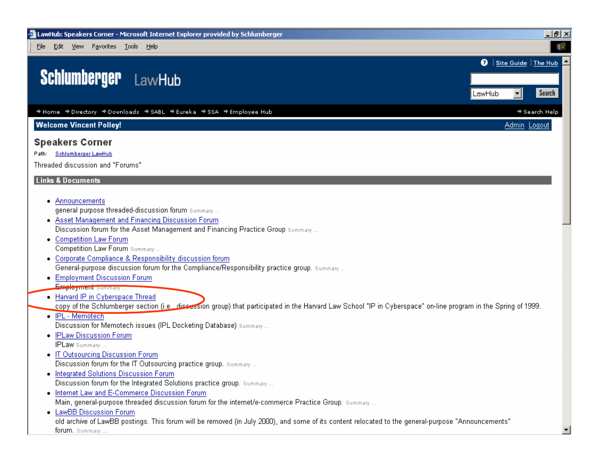File Edit View Favorites Tools Help

### **Schlumberger** LawHub

→ Home → Directory → Downloads → SABL → Eureka → SSA → Employee Hub

**Welcome Vincent Polley!** 

#### **Speakers Corner**

#### Path: Schlumberger LawHub

Threaded discussion and "Forums"

#### **Links & Documents**

- Announcements general purpose threaded-discussion forum summary...
- Asset Management and Financing Discussion Forum Discussion forum for the Asset Management and Financing Practice Group summary...
- Competition Law Forum Competition Law Forum Summary...
- Corporate Compliance & Responsibility discussion forum General-purpose discussion forum for the Compliance/Responsibility practice group. Summary...
- Employment Discussion Forum Employment summary...
- Harvard IP in Cyberspace Thread

copy of the Schlumberger section (i.e., diseassion group) that participated in the Harvard Law School "IP in Cyberspace" on-line program in the Spring of 1999.

 $-|B|$   $\times$ 編

Search

→ Search Help

Admin Logout

**Q** Site Guide The Hub

┯║

LawHub

- IPL - Memotech

Discussion for Memotech issues (IPL Docketing Database) Summary ...

- IPLaw Discussion Forum

**IPLaw** Summary...

- IT Outsourcing Discussion Forum Discussion forum for the IT Outsourcing practice group. Summary...
- . Integrated Solutions Discussion Forum Discussion forum for the Integrated Solutions practice group. Summary...
- . Internet Law and E-Commerce Discussion Forum Main, general-purpose threaded discussion forum for the internet/e-commerce Practice Group. Summary...
- LawBB Discussion Forum

old archive of LawBB postings. This forum will be removed (in July 2000), and some of its content relocated to the general-purpose "Announcements" forum. Summary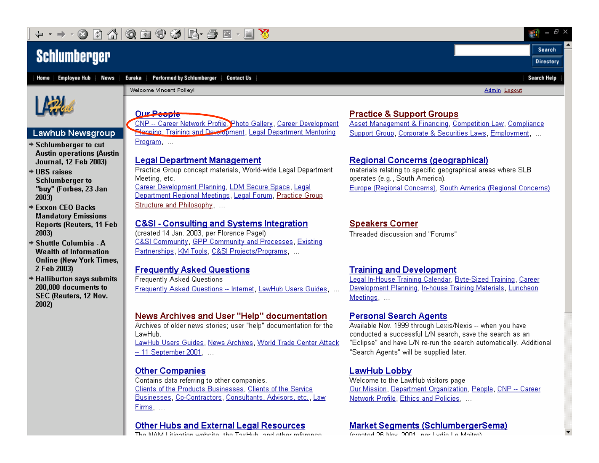#### ĪВ 南守多尽一手 國 Q

### **Schlumberger**

**News** 



#### **Lawhub Newsgroup**

- → Schlumberger to cut **Austin operations (Austin** Journal, 12 Feb 2003)
- + LIBS raises **Schlumberger to** "buy" (Forbes, 23 Jan 2003)
- **→ Exxon CEO Backs Mandatory Emissions Reports (Reuters, 11 Feb** 2003)
- → Shuttle Columbia A **Wealth of Information Online (New York Times,** 2 Feb 2003)
- + Halliburton says submits 200,000 documents to SEC (Reuters, 12 Nov. 2002)

**Performed by Schlumberger Contact Us** Eureka

Welcome Vincent Polley!

**Our People** CNP -- Career Network Profile, Photo Gallery, Career Development

**Napping, Training and Development, Legal Department Mentoring** Program ...

#### **Legal Department Management**

Practice Group concept materials, World-wide Legal Department Meeting, etc. Career Development Planning, LDM Secure Space, Legal Department Regional Meetings, Legal Forum, Practice Group Structure and Philosophy. ...

#### **C&SI - Consulting and Systems Integration**

(created 14 Jan. 2003, per Florence Pagel) C&SI Community, GPP Community and Processes, Existing Partnerships, KM Tools, C&SI Projects/Programs, ...

#### **Frequently Asked Questions**

**Frequently Asked Questions** Frequently Asked Questions -- Internet, LawHub Users Guides,

#### News Archives and User "Help" documentation

Archives of older news stories: user "help" documentation for the LawHub.

LawHub Users Guides, News Archives, World Trade Center Attack -- 11 September 2001. ...

#### **Other Companies**

Contains data referring to other companies. Clients of the Products Businesses, Clients of the Service Businesses, Co-Contractors, Consultants, Advisors, etc., Law Firms ...

#### **Other Hubs and External Legal Resources**

**INTO KALL (A)** and there is such a fact that if The of Table the send that because the

#### **Practice & Support Groups**

Asset Management & Financing, Competition Law, Compliance Support Group, Corporate & Securities Laws, Employment. ...

Ł

Search

**Directory** 

**Search Help** 

Admin Logout

#### **Regional Concerns (geographical)**

materials relating to specific geographical areas where SLB operates (e.g., South America). Europe (Regional Concerns), South America (Regional Concerns)

#### **Speakers Corner**

Threaded discussion and "Forums"

#### **Training and Development**

Legal In-House Training Calendar, Byte-Sized Training, Career Development Planning, In-house Training Materials, Luncheon Meetings, ...

#### **Personal Search Agents**

Available Nov. 1999 through Lexis/Nexis -- when you have conducted a successful L/N search, save the search as an "Eclipse" and have L/N re-run the search automatically. Additional "Search Agents" will be supplied later.

#### **LawHub Lobby**

Welcome to the LawHub visitors page Our Mission, Department Organization, People, CNP -- Career Network Profile, Ethics and Policies, ...

#### **Market Segments (SchlumbergerSema)**

and a ground on ground a start and a firm in the start of the start of the start of the start of the start of the start of the start of the start of the start of the start of the start of the start of the start of the star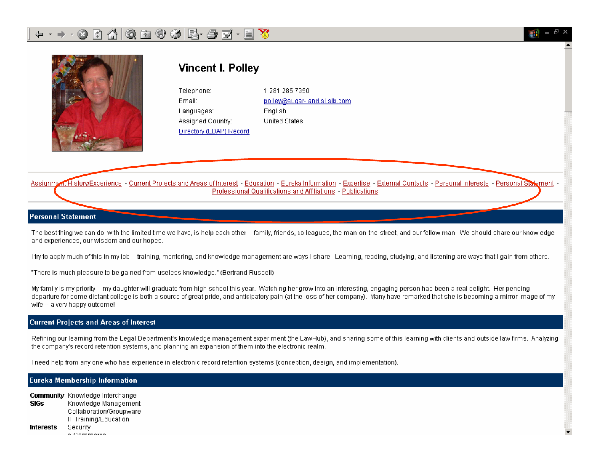

### **Vincent I. Pollev**

1 281 285 7950 Telephone: Fmail: polley@sugar-land.sl.slb.com Enalish Languages: Assigned Country: **United States** Directory (LDAP) Record

Assignment History/Experience - Current Projects and Areas of Interest - Education - Eureka Information - Expertise - External Contacts - Personal Interests - Personal Statement -Professional Qualifications and Affiliations - Publications

Ł

#### **Personal Statement**

The best thing we can do, with the limited time we have, is help each other -- family, friends, colleagues, the man-on-the-street, and our fellow man. We should share our knowledge and experiences, our wisdom and our hopes.

Thy to apply much of this in my job -- training, mentoring, and knowledge management are ways I share. Learning, reading, studying, and listening are ways that I gain from others.

"There is much pleasure to be gained from useless knowledge." (Bertrand Russell)

My family is my priority -- my daughter will graduate from high school this year. Watching her grow into an interesting, engaging person has been a real delight. Her pending departure for some distant college is both a source of great pride, and anticipatory pain (at the loss of her company). Many have remarked that she is becoming a mirror image of my wife -- a very happy outcome!

#### **Current Projects and Areas of Interest**

Refining our learning from the Legal Department's knowledge management experiment (the LawHub), and sharing some of this learning with clients and outside law firms. Analyzing the company's record retention systems, and planning an expansion of them into the electronic realm.

Theed help from any one who has experience in electronic record retention systems (conception, design, and implementation).

#### **Eureka Membership Information**

**Community** Knowledge Interchange **SIGs** Knowledge Management Collaboration/Groupware IT Training/Education **Interests** Security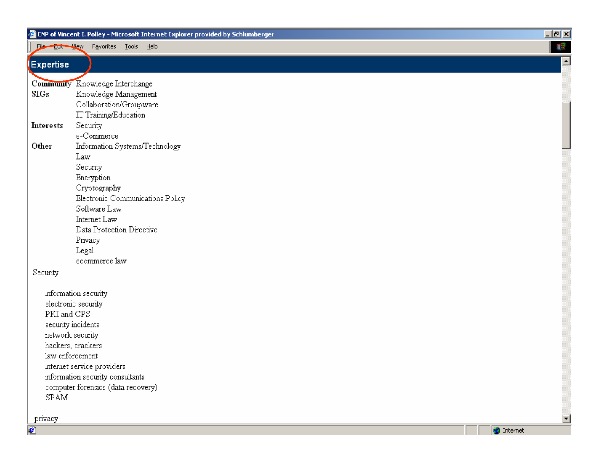|                  | CNP of Vincent I. Polley - Microsoft Internet Explorer provided by Schlumberger | $L = 2$              |
|------------------|---------------------------------------------------------------------------------|----------------------|
| File Edit        | Favorites Tools<br><u>H</u> elp<br>View                                         | 瞬                    |
| <b>Expertise</b> |                                                                                 | ∸                    |
|                  | Community Knowledge Interchange                                                 |                      |
| SIGs             | Knowledge Management                                                            |                      |
|                  | Collaboration/Groupware                                                         |                      |
|                  | IT Training/Education                                                           |                      |
| <b>Interests</b> | Security                                                                        |                      |
|                  | e-Commerce                                                                      |                      |
| Other            | Information Systems/Technology                                                  |                      |
|                  | Law                                                                             |                      |
|                  | Security                                                                        |                      |
|                  | Encryption                                                                      |                      |
|                  | Cryptography                                                                    |                      |
|                  | Electronic Communications Policy                                                |                      |
|                  | Software Law                                                                    |                      |
|                  | Internet Law                                                                    |                      |
|                  | Data Protection Directive                                                       |                      |
|                  | Privacy                                                                         |                      |
|                  | Legal                                                                           |                      |
|                  | ecommerce law                                                                   |                      |
| Security         |                                                                                 |                      |
|                  | information security                                                            |                      |
|                  | electronic security                                                             |                      |
| PKI and CPS      |                                                                                 |                      |
|                  | security incidents                                                              |                      |
|                  | network security                                                                |                      |
|                  | hackers, crackers                                                               |                      |
|                  | law enforcement                                                                 |                      |
|                  | internet service providers                                                      |                      |
|                  | information security consultants                                                |                      |
|                  | computer forensics (data recovery)                                              |                      |
| SPAM             |                                                                                 |                      |
|                  |                                                                                 |                      |
| privacy          |                                                                                 | $\blacktriangledown$ |

privacy €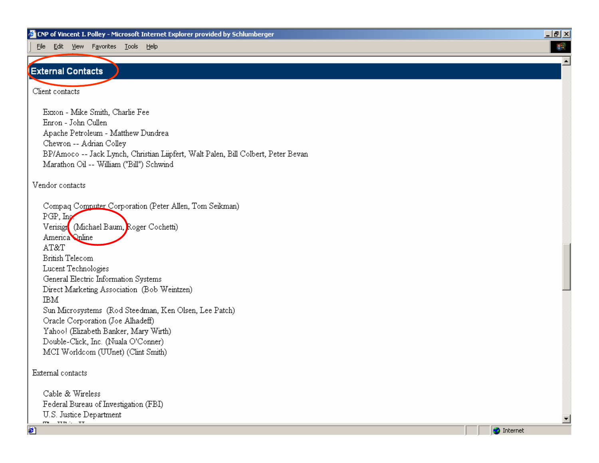File Edit View Favorites Tools Help

#### **External Contacts**

Client contacts

Exxon - Mike Smith, Charlie Fee Enron - John Cullen Apache Petroleum - Matthew Dundrea Chevron -- Adrian Collev BP/Amoco -- Jack Lynch, Christian Lüpfert, Walt Palen, Bill Colbert, Peter Bevan Marathon Oil -- William ("Bill") Schwind

#### Vendor contacts

Compaq Computer Corporation (Peter Allen, Tom Seikman) PGP, Ing. Verisign (Michael Baum, Roger Cochetti) America Online AT&T **British Telecom** Lucent Technologies General Electric Information Systems Direct Marketing Association (Bob Weintzen) **IBM** Sun Microsystems (Rod Steedman, Ken Olsen, Lee Patch) Oracle Corporation (Joe Alhadeff) Yahoo! (Elizabeth Banker, Mary Wirth) Double-Click, Inc. (Nuala O'Conner) MCI Worldcom (UUnet) (Clint Smith)

External contacts

Cable & Wireless Federal Bureau of Investigation (FBI) U.S. Justice Department  $\overline{m}$   $\overline{m}$   $\overline{n}$ 

æ1



 $|I||$ ■

 $\overline{\phantom{a}}$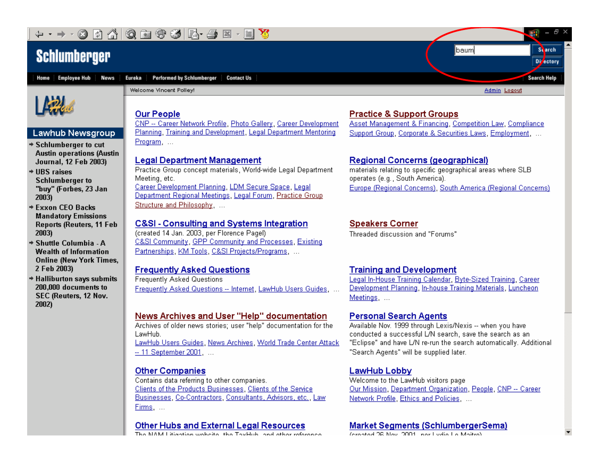#### 南守多民子至 ĪВ 6 國

### **Schlumberger**

Home Employee Hub **News** 



Admin Logout

Ł

Svarch.

Di<sub>ectory</sub>

Search Help



#### **Lawhub Newsgroup**

- → Schlumberger to cut **Austin operations (Austin** Journal, 12 Feb 2003)
- $+$  LIBS raises **Schlumberger to** "buy" (Forbes, 23 Jan 2003)
- **→ Exxon CEO Backs Mandatory Emissions Reports (Reuters, 11 Feb** 2003)
- + Shuttle Columbia A **Wealth of Information Online (New York Times,** 2 Feb 2003)
- + Halliburton says submits 200,000 documents to SEC (Reuters, 12 Nov. 2002)

**Our People** 

Welcome Vincent Polley!

CNP -- Career Network Profile, Photo Gallery, Career Development Planning, Training and Development, Legal Department Mentoring Program ...

#### **Legal Department Management**

Practice Group concept materials, World-wide Legal Department Meeting, etc. Career Development Planning, LDM Secure Space, Legal Department Regional Meetings, Legal Forum, Practice Group Structure and Philosophy, ...

#### C&SI - Consulting and Systems Integration

(created 14 Jan. 2003, per Florence Pagel) C&SI Community, GPP Community and Processes, Existing Partnerships, KM Tools, C&SI Projects/Programs, ...

#### **Frequently Asked Questions**

**Frequently Asked Questions** Frequently Asked Questions -- Internet, LawHub Users Guides,

#### News Archives and User "Help" documentation

Archives of older news stories: user "help" documentation for the LawHub.

LawHub Users Guides, News Archives, World Trade Center Attack -- 11 September 2001. ...

#### **Other Companies**

Contains data referring to other companies. Clients of the Products Businesses, Clients of the Service Businesses, Co-Contractors, Consultants, Advisors, etc., Law Firms, ...

#### **Other Hubs and External Legal Resources**

**INTO KALL (A)** and there is such a fact that if The of Table the send that because the

#### **Practice & Support Groups**

Asset Management & Financing, Competition Law, Compliance Support Group, Corporate & Securities Laws, Employment. ...

lbaum

#### **Regional Concerns (geographical)**

materials relating to specific geographical areas where SLB operates (e.g., South America). Europe (Regional Concerns), South America (Regional Concerns)

#### **Speakers Corner**

Threaded discussion and "Forums"

#### **Training and Development**

Legal In-House Training Calendar, Byte-Sized Training, Career Development Planning, In-house Training Materials, Luncheon Meetings, ...

#### **Personal Search Agents**

Available Nov. 1999 through Lexis/Nexis -- when you have conducted a successful L/N search, save the search as an "Eclipse" and have L/N re-run the search automatically. Additional "Search Agents" will be supplied later.

#### **LawHub Lobby**

Welcome to the LawHub visitors page Our Mission, Department Organization, People, CNP -- Career Network Profile, Ethics and Policies, ...

#### **Market Segments (SchlumbergerSema)**

and a ground on ground a start and a firm in the start of the start of the start of the start of the start of the start of the start of the start of the start of the start of the start of the start of the start of the star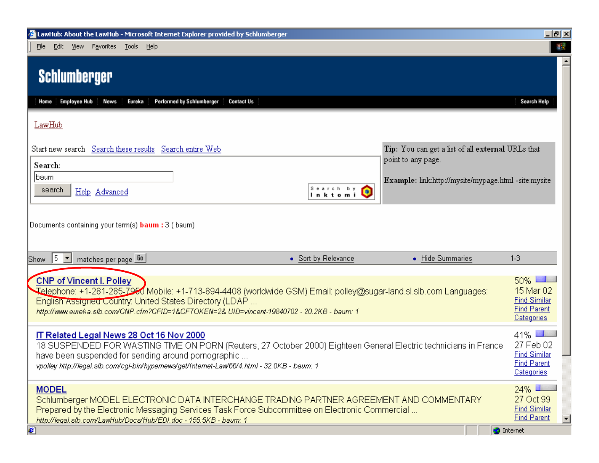| <b>2</b> LawHub: About the LawHub - Microsoft Internet Explorer provided by Schlumberger                                                                                                                                                                                                                            |                           |                                                                         | <u>니리×</u>                                                                           |
|---------------------------------------------------------------------------------------------------------------------------------------------------------------------------------------------------------------------------------------------------------------------------------------------------------------------|---------------------------|-------------------------------------------------------------------------|--------------------------------------------------------------------------------------|
| Edit View Favorites Tools Help<br>File                                                                                                                                                                                                                                                                              |                           |                                                                         |                                                                                      |
| <b>Schlumberger</b>                                                                                                                                                                                                                                                                                                 |                           |                                                                         |                                                                                      |
| <b>Employee Hub</b><br>Performed by Schlumberger<br><b>Contact Us</b><br>News<br>Eureka<br>Home                                                                                                                                                                                                                     |                           |                                                                         | Search Help                                                                          |
| LawHub                                                                                                                                                                                                                                                                                                              |                           |                                                                         |                                                                                      |
| Start new search Search these results Search entire Web<br>Search:                                                                                                                                                                                                                                                  |                           | Tip: You can get a list of all external URLs that<br>point to any page. |                                                                                      |
| baum<br>search<br>Help Advanced                                                                                                                                                                                                                                                                                     | Search by<br>Ο<br>Inktomi | Example: link:http://mysite/mypage.html -site:mysite                    |                                                                                      |
|                                                                                                                                                                                                                                                                                                                     |                           |                                                                         |                                                                                      |
| Documents containing your term(s) <b>baum</b> : 3 (baum)                                                                                                                                                                                                                                                            |                           |                                                                         | $1-3$                                                                                |
| 15.<br>$\vert \mathbf{r} \vert$<br>matches per page 60<br>Show                                                                                                                                                                                                                                                      | • Sort by Relevance       | • Hide Summaries                                                        |                                                                                      |
| <b>CNP of Vincent I. Polley</b><br>Telephone: +1-281-285-7950 Mobile: +1-713-894-4408 (worldwide GSM) Email: polley@sugar-land.sl.slb.com Languages:<br>English Assigned Country: United States Directory (LDAP<br>http://www.eureka.slb.com/CNP.cfm?CFID=1&CFTOKEN=2& UID=vincent-19840702 - 20.2KB - baum: 1      |                           |                                                                         | 50% L<br>15 Mar 02<br><b>Find Similar</b><br><b>Find Parent</b><br><b>Categories</b> |
| IT Related Legal News 28 Oct 16 Nov 2000<br>18 SUSPENDED FOR WASTING TIME ON PORN (Reuters, 27 October 2000) Eighteen General Electric technicians in France<br>have been suspended for sending around pornographic<br>vpolley http://legal.slb.com/cgi-bin/hypernews/get/Internet-Law'66/4.html - 32.0KB - baum: 1 |                           |                                                                         | $41\%$ 1<br>27 Feb 02<br><b>Find Similar</b><br><b>Find Parent</b><br>Categories     |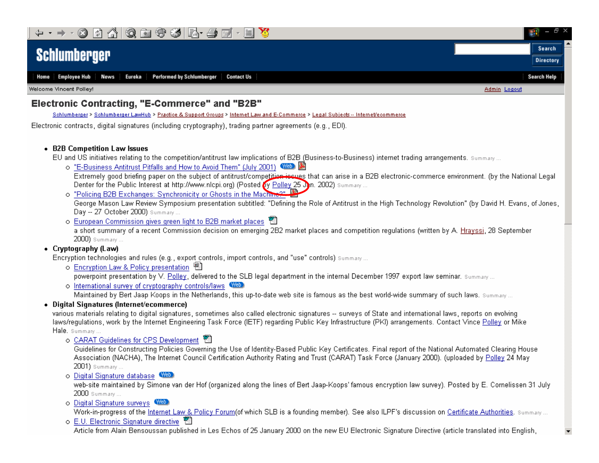

Performed by Schlumberger | Contact Us **Employee Hub** Eureka Home **News** 

Welcome Vincent Polley!

#### Electronic Contracting, "E-Commerce" and "B2B"

Schlumberger > Schlumberger LawHub > Practice & Support Groups > Internet Law and E-Commerce > Legal Subjects -- Internet/ecommerce

Electronic contracts, digital signatures (including cryptography), trading partner agreements (e.g., EDI).

#### • B2B Competition Law Issues

EU and US initiatives relating to the competition/antitrust law implications of B2B (Business-to-Business) internet trading arrangements. Summany...

o "E-Business Antitrust Pitfalls and How to Avoid Them" (July 2001) WED

Extremely good briefing paper on the subject of antitrust/competition-issues that can arise in a B2B electronic-commerce environment. (by the National Legal Denter for the Public Interest at http://www.nlcpi.org) (Posted by Polley 25 Jn. 2002) Summary...

Æ

Search

**Directory** 

**Search Help** 

Admin Logout

o "Policing B2B Exchanges: Synchronicity or Ghosts in the Machine?"

George Mason Law Review Symposium presentation subtitled: "Defining the Role of Antitrust in the High Technology Revolution" (by David H. Evans, of Jones, Day -- 27 October 2000) Summary ...

o European Commission gives green light to B2B market places

a short summary of a recent Commission decision on emerging 2B2 market places and competition regulations (written by A. Hrayssi, 28 September 2000) Summary ...

#### • Cryptography (Law)

Encryption technologies and rules (e.g., export controls, import controls, and "use" controls) Summary...

o Encryption Law & Policy presentation 圈

powerpoint presentation by V. Polley, delivered to the SLB legal department in the internal December 1997 export law seminar. Summary...

o International survey of cryptography controls/laws Web

Maintained by Bert Jaap Koops in the Netherlands, this up-to-date web site is famous as the best world-wide summary of such laws. Summary...

#### Digital Signatures (Internet/ecommerce)

various materials relating to digital signatures, sometimes also called electronic signatures -- surveys of State and international laws, reports on evolving laws/regulations, work by the Internet Engineering Task Force (IETF) regarding Public Key Infrastructure (PKI) arrangements. Contact Vince Polley or Mike Hale. summary...

o CARAT Guidelines for CPS Development

Guidelines for Constructing Policies Governing the Use of Identity-Based Public Key Certificates. Final report of the National Automated Clearing House Association (NACHA), The Internet Council Certification Authority Rating and Trust (CARAT) Task Force (January 2000). (uploaded by Polley 24 May 2001) Summary ...

o Digital Signature database WED

web-site maintained by Simone van der Hof (organized along the lines of Bert Jaap-Koops' famous encryption law survey). Posted by E. Cornelissen 31 July 2000 Summary...

o Digital Signature surveys WED

Work-in-progress of the Internet Law & Policy Forum(of which SLB is a founding member). See also ILPF's discussion on Certificate Authorities. Summary...

o E.U. Electronic Signature directive

Article from Alain Bensoussan published in Les Echos of 25 January 2000 on the new EU Electronic Signature Directive (article translated into English,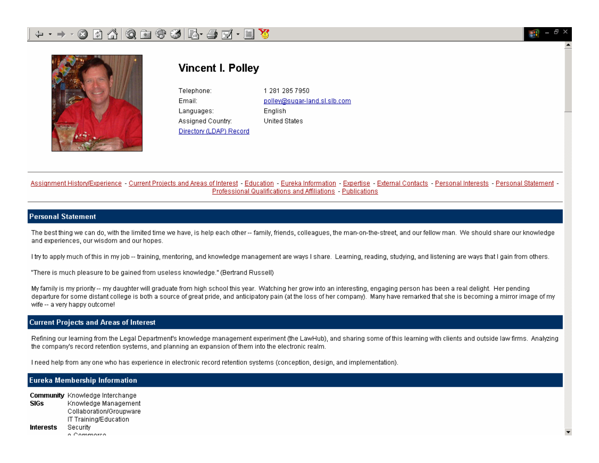



### **Vincent I. Pollev**

Telephone: Fmail: Languages: Assigned Country: Directory (LDAP) Record 1 281 285 7950 polley@sugar-land.sl.slb.com Enalish **United States** 

Assignment History/Experience - Current Projects and Areas of Interest - Education - Eureka Information - Expertise - External Contacts - Personal Interests - Personal Statement -Professional Qualifications and Affiliations - Publications

#### **Personal Statement**

The best thing we can do, with the limited time we have, is help each other -- family, friends, colleagues, the man-on-the-street, and our fellow man. We should share our knowledge and experiences, our wisdom and our hopes.

Thy to apply much of this in my job -- training, mentoring, and knowledge management are ways I share. Learning, reading, studying, and listening are ways that I gain from others.

"There is much pleasure to be gained from useless knowledge." (Bertrand Russell)

My family is my priority -- my daughter will graduate from high school this year. Watching her grow into an interesting, engaging person has been a real delight. Her pending departure for some distant college is both a source of great pride, and anticipatory pain (at the loss of her company). Many have remarked that she is becoming a mirror image of my wife -- a very happy outcome!

#### **Current Projects and Areas of Interest**

Refining our learning from the Legal Department's knowledge management experiment (the LawHub), and sharing some of this learning with clients and outside law firms. Analyzing the company's record retention systems, and planning an expansion of them into the electronic realm.

Theed help from any one who has experience in electronic record retention systems (conception, design, and implementation).

#### **Eureka Membership Information**

Community Knowledge Interchange **SIGs** Knowledge Management Collaboration/Groupware IT Training/Education **Interests** Security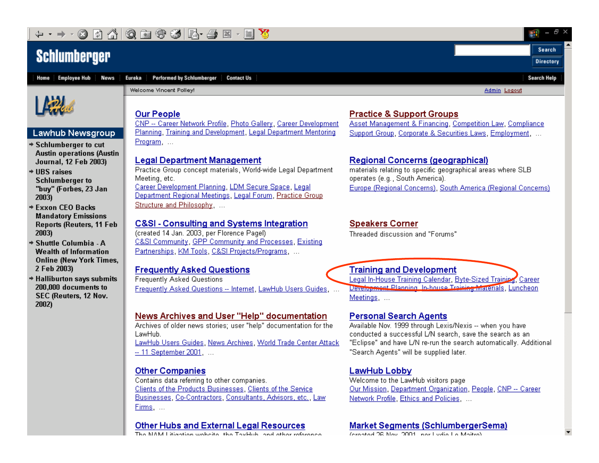#### ĪВ 6 南守到尽一手 國

### **Schlumberger**



**Performed by Schlumberger Contact Us** Eureka



#### **Lawhub Newsgroup**

- → Schlumberger to cut **Austin operations (Austin** Journal, 12 Feb 2003)
- $+$  LIBS raises **Schlumberger to** "buy" (Forbes, 23 Jan 2003)
- **★ Exxon CEO Backs Mandatory Emissions Reports (Reuters, 11 Feb** 2003)
- → Shuttle Columbia A **Wealth of Information Online (New York Times,** 2 Feb 2003)
- + Halliburton says submits 200,000 documents to SEC (Reuters, 12 Nov. 2002)

Welcome Vincent Polley!

Admin Logout

Ł

Search

**Directory** 

**Search Help** 

#### **Our People**

CNP -- Career Network Profile, Photo Gallery, Career Development Planning, Training and Development, Legal Department Mentoring Program ...

#### **Legal Department Management**

Practice Group concept materials, World-wide Legal Department Meeting, etc. Career Development Planning, LDM Secure Space, Legal Department Regional Meetings, Legal Forum, Practice Group Structure and Philosophy, ...

#### **C&SI - Consulting and Systems Integration**

(created 14 Jan. 2003, per Florence Pagel) C&SI Community, GPP Community and Processes, Existing Partnerships, KM Tools, C&SI Projects/Programs, ...

#### **Frequently Asked Questions**

**Frequently Asked Questions** Frequently Asked Questions -- Internet, LawHub Users Guides, ...

#### News Archives and User "Help" documentation

Archives of older news stories: user "help" documentation for the LawHub.

LawHub Users Guides, News Archives, World Trade Center Attack -- 11 September 2001. ...

#### **Other Companies**

Contains data referring to other companies. Clients of the Products Businesses, Clients of the Service Businesses, Co-Contractors, Consultants, Advisors, etc., Law Firms ...

#### **Other Hubs and External Legal Resources**

**INTO KALL Separations conduction in the Theod bole in and satisfacture** 

#### **Practice & Support Groups**

Asset Management & Financing, Competition Law, Compliance Support Group, Corporate & Securities Laws, Employment. ...

#### **Regional Concerns (geographical)**

materials relating to specific geographical areas where SLB operates (e.g., South America). Europe (Regional Concerns), South America (Regional Concerns)

#### **Speakers Corner**

Threaded discussion and "Forums"

#### **Training and Development**

Legal In-House Training Calendar, Byte-Sized Training, Career Development Planning, In-house Training Materials, Luncheon Meetings, ...

#### **Personal Search Agents**

Available Nov. 1999 through Lexis/Nexis -- when you have conducted a successful L/N search, save the search as an "Eclipse" and have L/N re-run the search automatically. Additional "Search Agents" will be supplied later.

#### **LawHub Lobby**

Welcome to the LawHub visitors page Our Mission, Department Organization, People, CNP -- Career Network Profile, Ethics and Policies, ...

#### **Market Segments (SchlumbergerSema)**

and a ground on ground a start and a firm in the start of the start of the start of the start of the start of the start of the start of the start of the start of the start of the start of the start of the start of the star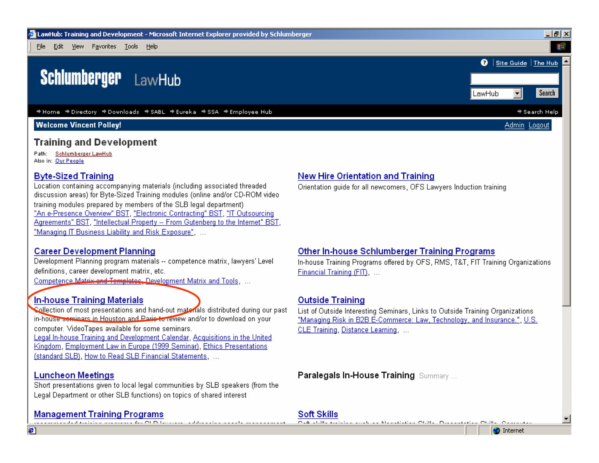File Edit View Favorites Tools Help

#### **Schlumberger** LawHub

→ Home → Directory → Downloads → SABL → Eureka → SSA → Employee Hub

#### **Welcome Vincent Polley!**

#### **Training and Development**

Path: Schlumberger LawHub Also in: Our People

#### **Byte-Sized Training**

Location containing accompanying materials (including associated threaded discussion areas) for Byte-Sized Training modules (online and/or CD-ROM video training modules prepared by members of the SLB legal department) "An e-Presence Overview" BST, "Electronic Contracting" BST, "IT Outsourcing Agreements" BST, "Intellectual Property -- From Gutenberg to the Internet" BST, "Managing IT Business Liability and Risk Exposure", ...

#### **Career Development Planning**

Development Planning program materials -- competence matrix, lawyers' Level definitions, career development matrix, etc.

Competence Matrix and Templates, Development Matrix and Tools, ...

#### In-house Training Materials

Collection of most presentations and hand-out materials distributed during our past in-house seminars in Houston and Parie to review and/or to download on your computer. VideoTapes available for some seminars. Legal In-house Training and Development Calendar, Acquisitions in the United Kingdom, Employment Law in Europe (1999 Seminar), Ethics Presentations (standard SLB), How to Read SLB Financial Statements, ...

#### **Luncheon Meetings**

æ1

Short presentations given to local legal communities by SLB speakers (from the Legal Department or other SLB functions) on topics of shared interest

#### **Management Training Programs** <u>as a successive distribution and concess. As a OLD the consequence didates site of a second second concession t</u>

**New Hire Orientation and Training** 

Orientation quide for all newcomers, OFS Lawyers Induction training

Other In-house Schlumberger Training Programs

#### **Outside Training**

Financial Training (FIT), ...

List of Outside Interesting Seminars, Links to Outside Training Organizations "Managing Risk in B2B E-Commerce: Law, Technology, and Insurance.", U.S. CLE Training, Distance Learning, ...

In-house Training Programs offered by OFS, RMS, T&T, FIT Training Organizations

**Paralegals In-House Training Summary...** 

#### Soft Skills

One shill exclude south of Manufacture Obile, Decoration Obile  $O = 1$ 

**O** Internet

▼∣

 $-|P| \times$ 

Search

→ Search Help

Admin Loaout

Site Guide The Hub

┯║

ຄ

LawHub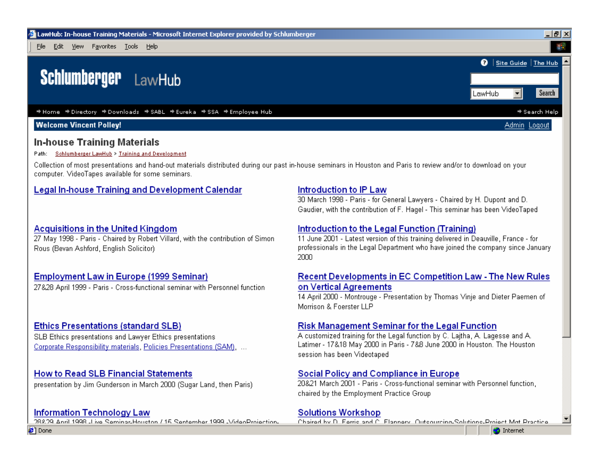

#### **In-house Training Materials**

#### Path: Schlumberger LawHub > Training and Development

Collection of most presentations and hand-out materials distributed during our past in-house seminars in Houston and Paris to review and/or to download on your computer. VideoTapes available for some seminars.

#### **Legal In-house Training and Development Calendar**

#### **Acquisitions in the United Kingdom**

27 May 1998 - Paris - Chaired by Robert Villard, with the contribution of Simon Rous (Bevan Ashford, English Solicitor)

#### **Employment Law in Europe (1999 Seminar)**

27&28 April 1999 - Paris - Cross-functional seminar with Personnel function

#### **Ethics Presentations (standard SLB)**

SLB Ethics presentations and Lawyer Ethics presentations Corporate Responsibility materials, Policies Presentations (SAM), ...

#### **How to Read SLB Financial Statements**

presentation by Jim Gunderson in March 2000 (Sugar Land, then Paris)

#### **Information Technology Law**

288.29 Anril 1998 J. ivo Saminar Houston / 15 Santamber 1999 J/ideoProjection.

#### Introduction to IP Law

30 March 1998 - Paris - for General Lawyers - Chaired by H. Dupont and D. Gaudier, with the contribution of F. Hagel - This seminar has been VideoTaped

#### Introduction to the Legal Function (Training)

11 June 2001 - Latest version of this training delivered in Deauville, France - for professionals in the Legal Department who have joined the company since January 2000

#### **Recent Developments in EC Competition Law - The New Rules** on Vertical Agreements

14 April 2000 - Montrouge - Presentation by Thomas Vinje and Dieter Paemen of Morrison & Foerster LLP

#### **Risk Management Seminar for the Legal Function**

A customized training for the Legal function by C. Lajtha, A. Lagesse and A. Latimer - 17&18 May 2000 in Paris - 7&8 June 2000 in Houston. The Houston session has been Videotaped

#### Social Policy and Compliance in Europe

20&21 March 2001 - Paris - Cross-functional seminar with Personnel function, chaired by the Employment Practice Group

#### **Solutions Workshop**

Chaired by D. Ferric and C. Flannery, Outcourding-Solutions-Project Mat Practice.

**O** Internet

**∉1** Done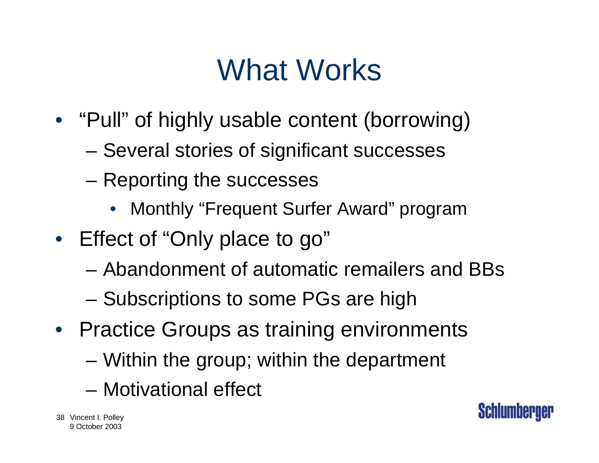## What Works

- "Pull" of highly usable content (borrowing)
	- –Several stories of significant successes
	- – Reporting the successes
		- Monthly "Frequent Surfer Award" program
- Effect of "Only place to go"
	- Abandonment of automatic remailers and BBs
	- –Subscriptions to some PGs are high
- Practice Groups as training environments – Within the group; within the department
	- Motivational effect

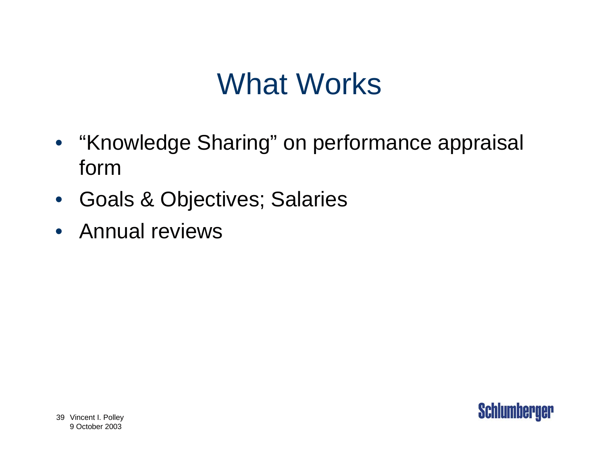## What Works

- "Knowledge Sharing" on performance appraisal form
- $\bullet$ Goals & Objectives; Salaries
- Annual reviews

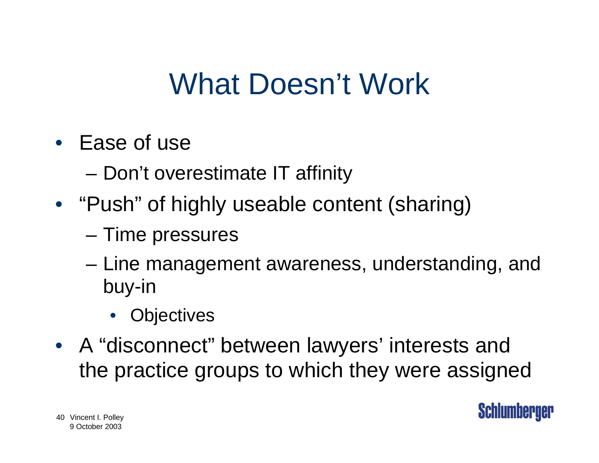## What Doesn't Work

- Ease of use
	- –Don't overestimate IT affinity
- "Push" of highly useable content (sharing)
	- –Time pressures
	- – Line management awareness, understanding, and buy-in
		- Objectives
- A "disconnect" between lawyers' interests and the practice groups to which they were assigned

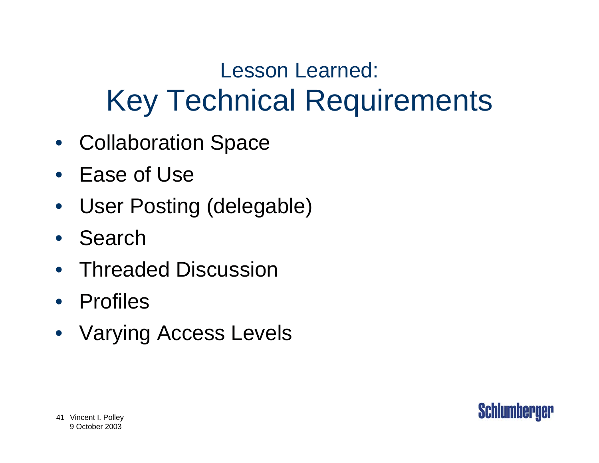### Lesson Learned: Key Technical Requirements

- Collaboration Space
- Ease of Use
- User Posting (delegable)
- Search
- Threaded Discussion
- Profiles
- Varying Access Levels

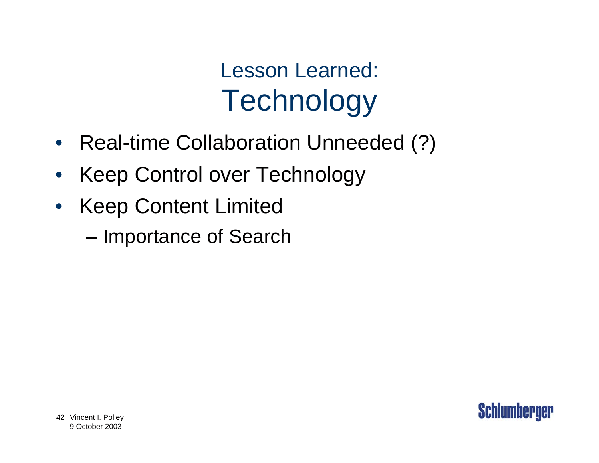Lesson Learned: **Technology** 

- Real-time Collaboration Unneeded (?)
- $\bullet$ Keep Control over Technology
- $\bullet$  Keep Content Limited
	- –Importance of Search

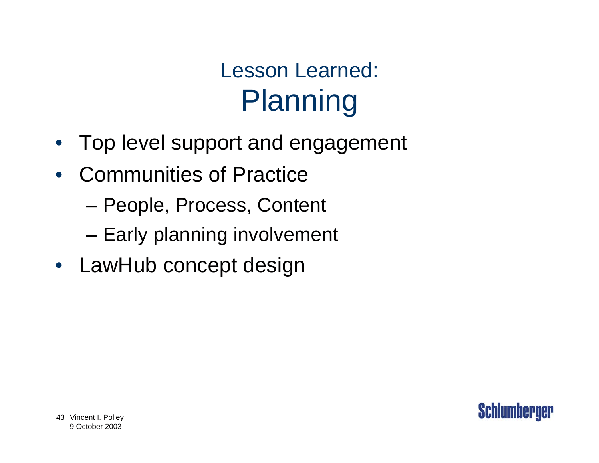### Lesson Learned: Planning

- Top level support and engagement
- Communities of Practice
	- –People, Process, Content
	- –Early planning involvement
- LawHub concept design

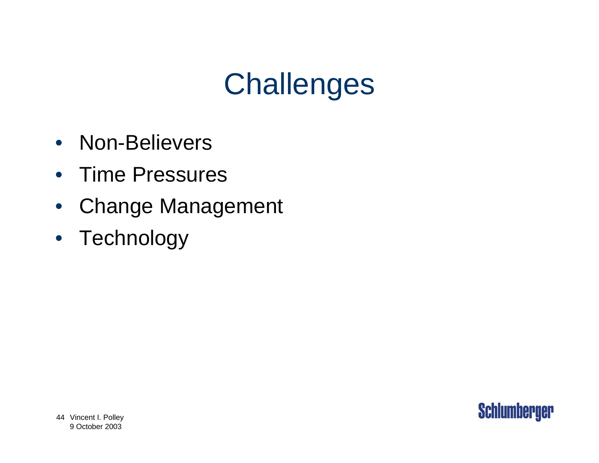## **Challenges**

- Non-Believers
- Time Pressures
- $\bullet$ Change Management
- $\bullet$ **Technology**

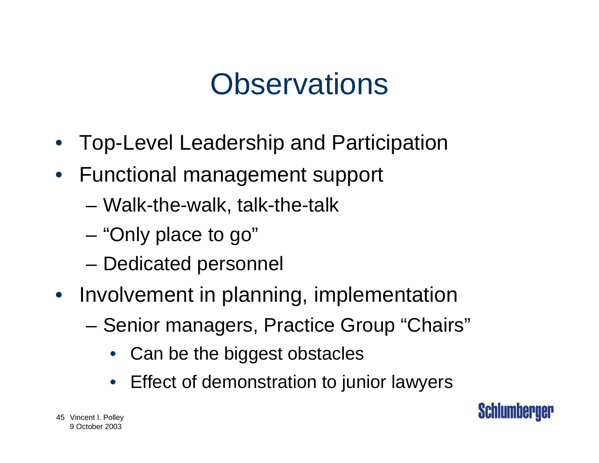### **Observations**

- Top-Level Leadership and Participation
- Functional management support
	- –Walk-the-walk, talk-the-talk
	- –"Only place to go"
	- –Dedicated personnel
- Involvement in planning, implementation
	- – Senior managers, Practice Group "Chairs"
		- •Can be the biggest obstacles
		- •Effect of demonstration to junior lawyers

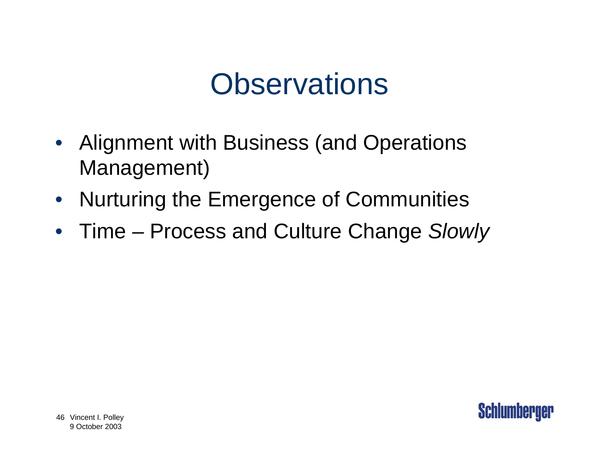### **Observations**

- Alignment with Business (and Operations Management)
- Nurturing the Emergence of Communities
- Time Process and Culture Change *Slowly*

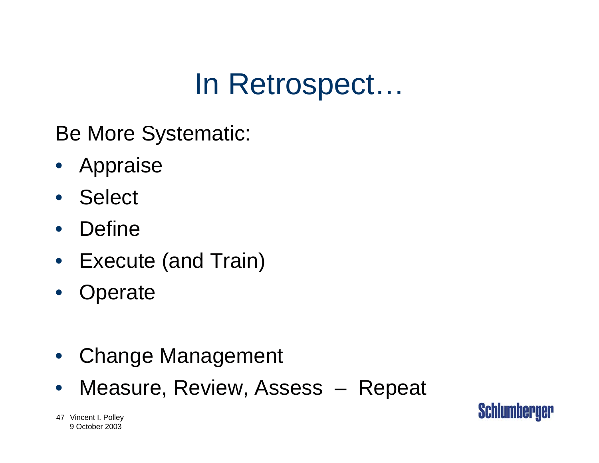### In Retrospect…

Be More Systematic:

- Appraise
- Select
- $\bullet$ Define
- Execute (and Train)
- •**Operate**
- Change Management
- •Measure, Review, Assess – Repeat

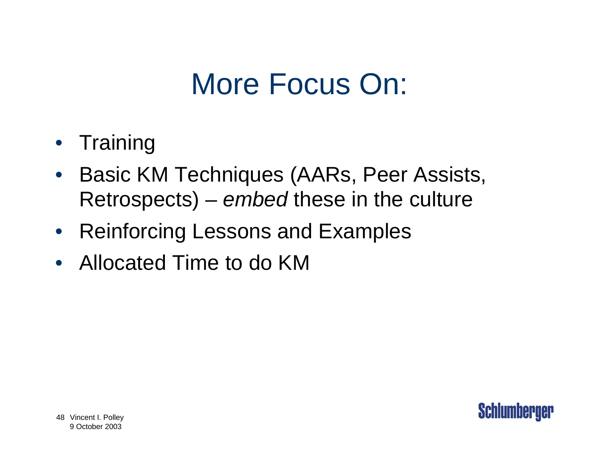## More Focus On:

- Training
- $\bullet$  Basic KM Techniques (AARs, Peer Assists, Retrospects) – *embed* these in the culture
- Reinforcing Lessons and Examples
- Allocated Time to do KM